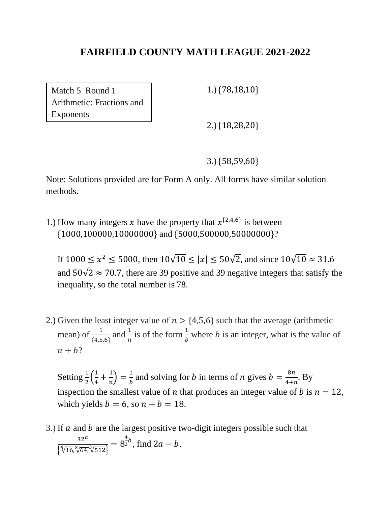Match 5 Round 1 Arithmetic: Fractions and Exponents

1.) {78,18,10}

2.) {18,28,20}

3.) {58,59,60}

Note: Solutions provided are for Form A only. All forms have similar solution methods.

1.) How many integers x have the property that  $x^{\{2,4,6\}}$  is between {1000,100000,10000000} and {5000,500000,50000000}?

If  $1000 \le x^2 \le 5000$ , then  $10\sqrt{10} \le |x| \le 50\sqrt{2}$ , and since  $10\sqrt{10} \approx 31.6$ and  $50\sqrt{2} \approx 70.7$ , there are 39 positive and 39 negative integers that satisfy the inequality, so the total number is 78.

2.) Given the least integer value of  $n > \{4,5,6\}$  such that the average (arithmetic mean) of  $\frac{1}{4,5,6}$  and  $\frac{1}{n}$  is of the form  $\frac{1}{b}$  where *b* is an integer, what is the value of  $n + b$ ?

Setting  $\frac{1}{2}$  $\left(\frac{1}{4}\right)$  $\frac{1}{4} + \frac{1}{n}$  $\left(\frac{1}{n}\right) = \frac{1}{b}$  $rac{1}{b}$  and solving for *b* in terms of *n* gives  $b = \frac{8n}{4+n}$  $\frac{6n}{4+n}$ . By inspection the smallest value of *n* that produces an integer value of *b* is  $n = 12$ , which yields  $b = 6$ , so  $n + b = 18$ .

3.) If  $\alpha$  and  $\beta$  are the largest positive two-digit integers possible such that  $32<sup>a</sup>$  $\frac{32}{\{\sqrt[4]{16}, \sqrt[3]{64}, \sqrt[3]{512}\}} = 8$ 4  $\frac{a}{3}b$ , find  $2a - b$ .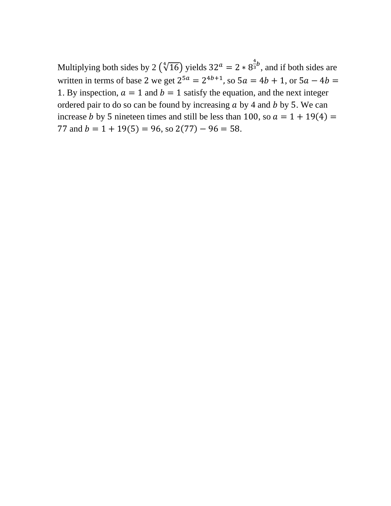Multiplying both sides by 2  $(\sqrt[4]{16})$  yields 32<sup>*a*</sup> = 2  $* 8^{\frac{4}{3}}$  $\frac{1}{3}$ <sup>b</sup>, and if both sides are written in terms of base 2 we get  $2^{5a} = 2^{4b+1}$ , so  $5a = 4b + 1$ , or  $5a - 4b =$ 1. By inspection,  $a = 1$  and  $b = 1$  satisfy the equation, and the next integer ordered pair to do so can be found by increasing  $a$  by 4 and  $b$  by 5. We can increase *b* by 5 nineteen times and still be less than 100, so  $a = 1 + 19(4) =$ 77 and  $b = 1 + 19(5) = 96$ , so  $2(77) - 96 = 58$ .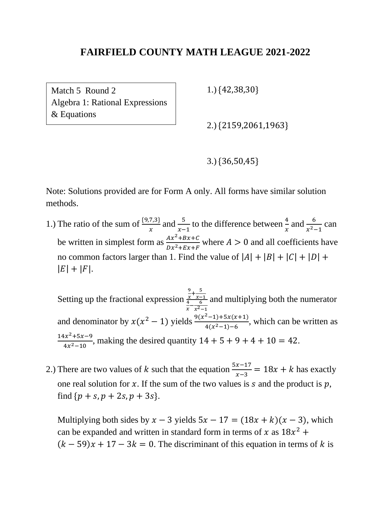Match 5 Round 2 Algebra 1: Rational Expressions & Equations

1.) {42,38,30}

2.) {2159,2061,1963}

3.) {36,50,45}

Note: Solutions provided are for Form A only. All forms have similar solution methods.

- 1.) The ratio of the sum of  $\frac{\{9,7,3\}}{x}$  and  $\frac{5}{x-1}$  to the difference between  $\frac{4}{x}$  and  $\frac{6}{x^2-1}$  can be written in simplest form as  $\frac{Ax^2+Bx+C}{Bx^2+Bx+C}$  $\frac{Ax + Bx + C}{Dx^2 + Ex + F}$  where  $A > 0$  and all coefficients have no common factors larger than 1. Find the value of  $|A| + |B| + |C| + |D| +$  $|E| + |F|.$ 
	- Setting up the fractional expression 9  $\frac{9}{x} + \frac{5}{x-}$  $\frac{x}{4}$   $\frac{x-1}{6}$  $\frac{4}{x} - \frac{6}{x^2}$  $x^2-1$ and multiplying both the numerator and denominator by  $x(x^2 - 1)$  yields  $\frac{9(x^2-1)+5x(x+1)}{4(x^2-1)+6}$  $\frac{-1}{4(x^2-1)-6}$ , which can be written as  $14x^2 + 5x - 9$  $\frac{4x+5x-9}{4x^2-10}$ , making the desired quantity  $14 + 5 + 9 + 4 + 10 = 42$ .
- 2.) There are two values of k such that the equation  $\frac{5x-17}{x-3} = 18x + k$  has exactly one real solution for x. If the sum of the two values is s and the product is p. find  $\{p + s, p + 2s, p + 3s\}.$

Multiplying both sides by  $x - 3$  yields  $5x - 17 = (18x + k)(x - 3)$ , which can be expanded and written in standard form in terms of x as  $18x^2 +$  $(k-59)x + 17 - 3k = 0$ . The discriminant of this equation in terms of k is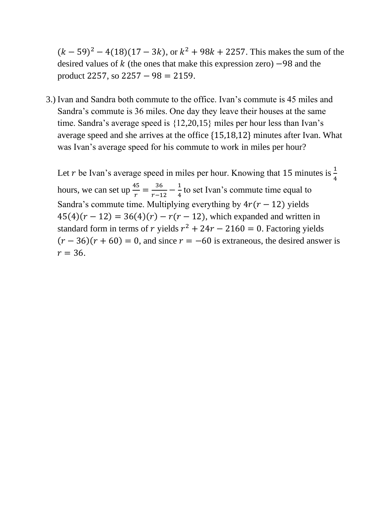$(k-59)^{2} - 4(18)(17 - 3k)$ , or  $k^{2} + 98k + 2257$ . This makes the sum of the desired values of  $k$  (the ones that make this expression zero)  $-98$  and the product 2257, so  $2257 - 98 = 2159$ .

3.) Ivan and Sandra both commute to the office. Ivan's commute is 45 miles and Sandra's commute is 36 miles. One day they leave their houses at the same time. Sandra's average speed is {12,20,15} miles per hour less than Ivan's average speed and she arrives at the office {15,18,12} minutes after Ivan. What was Ivan's average speed for his commute to work in miles per hour?

Let r be Ivan's average speed in miles per hour. Knowing that 15 minutes is  $\frac{1}{4}$ hours, we can set up  $\frac{45}{r} = \frac{36}{r-1}$  $\frac{36}{r-12} - \frac{1}{4}$  $\frac{1}{4}$  to set Ivan's commute time equal to Sandra's commute time. Multiplying everything by  $4r(r - 12)$  yields  $45(4)(r-12) = 36(4)(r) - r(r-12)$ , which expanded and written in standard form in terms of r yields  $r^2 + 24r - 2160 = 0$ . Factoring yields  $(r - 36)(r + 60) = 0$ , and since  $r = -60$  is extraneous, the desired answer is  $r = 36.$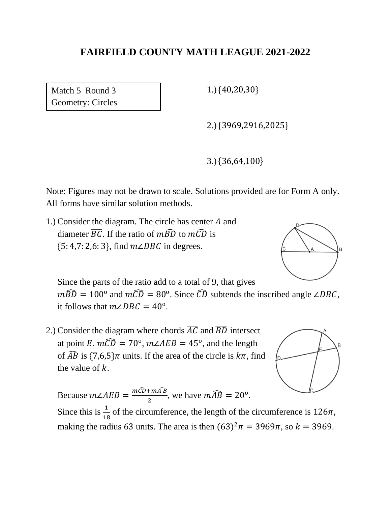Match 5 Round 3 Geometry: Circles 1.) {40,20,30}

2.) {3969,2916,2025}

3.) {36,64,100}

Note: Figures may not be drawn to scale. Solutions provided are for Form A only. All forms have similar solution methods.

1.) Consider the diagram. The circle has center  $A$  and diameter  $\overline{BC}$ . If the ratio of  $m\widehat{BD}$  to  $m\widehat{CD}$  is  ${5: 4,7: 2,6: 3}$ , find  $m\angle DBC$  in degrees.



Since the parts of the ratio add to a total of 9, that gives

 $m\widehat{BD} = 100^{\circ}$  and  $m\widehat{CD} = 80^{\circ}$ . Since  $\widehat{CD}$  subtends the inscribed angle ∠DBC, it follows that  $m\angle DBC = 40^{\circ}$ .

2.) Consider the diagram where chords  $\overline{AC}$  and  $\overline{BD}$  intersect at point E.  $m\widehat{CD} = 70^{\circ}$ ,  $m\angle AEB = 45^{\circ}$ , and the length of  $\widehat{AB}$  is  $\{7,6,5\}\pi$  units. If the area of the circle is  $k\pi$ , find the value of  $k$ .

Because  $m\angle AEB = \frac{m\widehat{CD} + m\widehat{AB}}{2}$  $\frac{1 + mAB}{2}$ , we have  $m\widehat{AB} = 20^{\circ}$ . Since this is  $\frac{1}{18}$  of the circumference, the length of the circumference is  $126\pi$ , making the radius 63 units. The area is then  $(63)^2 \pi = 3969 \pi$ , so  $k = 3969$ .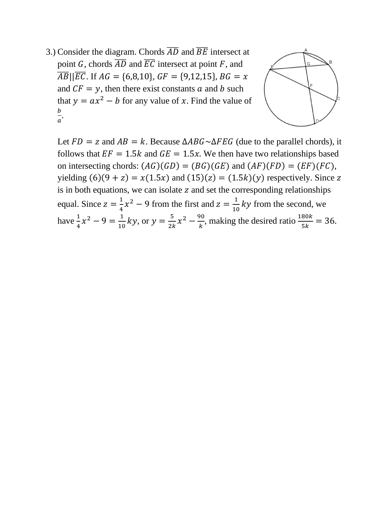3.) Consider the diagram. Chords  $\overline{AD}$  and  $\overline{BE}$  intersect at point G, chords  $\overline{AD}$  and  $\overline{EC}$  intersect at point F, and  $\overline{AB}$ || $\overline{EC}$ . If  $AG = \{6,8,10\}$ ,  $GF = \{9,12,15\}$ ,  $BG = x$ and  $CF = y$ , then there exist constants a and b such that  $y = ax^2 - b$  for any value of x. Find the value of  $\boldsymbol{b}$  $\frac{b}{a}$ .



Let  $FD = z$  and  $AB = k$ . Because  $\triangle ABC \sim \triangle FEG$  (due to the parallel chords), it follows that  $EF = 1.5k$  and  $GE = 1.5x$ . We then have two relationships based on intersecting chords:  $(AG)(GD) = (BG)(GE)$  and  $(AF)(FD) = (EF)(FC)$ , yielding  $(6)(9 + z) = x(1.5x)$  and  $(15)(z) = (1.5k)(y)$  respectively. Since z is in both equations, we can isolate  $z$  and set the corresponding relationships equal. Since  $z = \frac{1}{4}$  $\frac{1}{4}x^2 - 9$  from the first and  $z = \frac{1}{10}$  $\frac{1}{10}$  ky from the second, we have  $\frac{1}{4}x^2 - 9 = \frac{1}{10}$  $\frac{1}{10}$  ky, or  $y = \frac{5}{2k}$  $rac{5}{2k}x^2 - \frac{90}{k}$  $\frac{\partial 0}{\partial k}$ , making the desired ratio  $\frac{180k}{5k} = 36$ .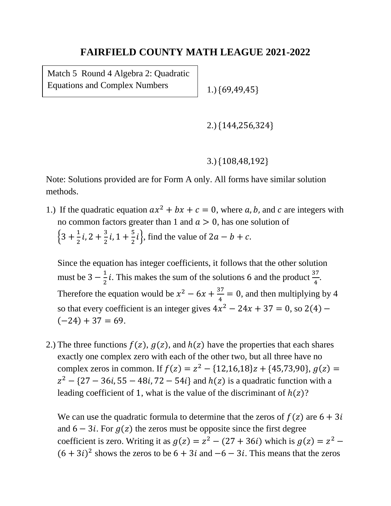Match 5 Round 4 Algebra 2: Quadratic Equations and Complex Numbers

1.) {69,49,45}

2.) {144,256,324}

3.) {108,48,192}

Note: Solutions provided are for Form A only. All forms have similar solution methods.

1.) If the quadratic equation  $ax^2 + bx + c = 0$ , where a, b, and c are integers with no common factors greater than 1 and  $a > 0$ , has one solution of  $\{3 + \frac{1}{2}\}$  $\frac{1}{2}i$ , 2 +  $\frac{3}{2}$  $\frac{3}{2}i$ , 1 +  $\frac{5}{2}$  $\frac{3}{2}i$ , find the value of 2*a* – *b* + *c*.

Since the equation has integer coefficients, it follows that the other solution must be  $3-\frac{1}{3}$  $\frac{1}{2}$ *i*. This makes the sum of the solutions 6 and the product  $\frac{37}{4}$ . Therefore the equation would be  $x^2 - 6x + \frac{37}{4}$  $\frac{37}{4}$  = 0, and then multiplying by 4 so that every coefficient is an integer gives  $4x^2 - 24x + 37 = 0$ , so  $2(4)$  –  $(-24) + 37 = 69.$ 

2.) The three functions  $f(z)$ ,  $g(z)$ , and  $h(z)$  have the properties that each shares exactly one complex zero with each of the other two, but all three have no complex zeros in common. If  $f(z) = z^2 - \{12, 16, 18\}z + \{45, 73, 90\}$ ,  $g(z) =$  $z^{2} - \{27 - 36i, 55 - 48i, 72 - 54i\}$  and  $h(z)$  is a quadratic function with a leading coefficient of 1, what is the value of the discriminant of  $h(z)$ ?

We can use the quadratic formula to determine that the zeros of  $f(z)$  are  $6 + 3i$ and  $6 - 3i$ . For  $g(z)$  the zeros must be opposite since the first degree coefficient is zero. Writing it as  $g(z) = z^2 - (27 + 36i)$  which is  $g(z) = z^2 (6+3i)^2$  shows the zeros to be  $6+3i$  and  $-6-3i$ . This means that the zeros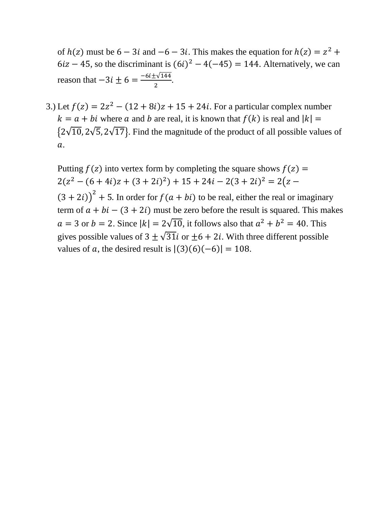of  $h(z)$  must be  $6 - 3i$  and  $-6 - 3i$ . This makes the equation for  $h(z) = z^2 + z^2$  $6iz - 45$ , so the discriminant is  $(6i)^2 - 4(-45) = 144$ . Alternatively, we can reason that  $-3i \pm 6 = \frac{-6i \pm \sqrt{144}}{2}$  $\frac{2^{144}}{2}$ .

3.) Let  $f(z) = 2z^2 - (12 + 8i)z + 15 + 24i$ . For a particular complex number  $k = a + bi$  where a and b are real, it is known that  $f(k)$  is real and  $|k| =$  ${2\sqrt{10}, 2\sqrt{5}, 2\sqrt{17}}$ . Find the magnitude of the product of all possible values of  $\overline{a}$ .

Putting  $f(z)$  into vertex form by completing the square shows  $f(z) =$  $2(z^2 - (6 + 4i)z + (3 + 2i)^2) + 15 + 24i - 2(3 + 2i)^2 = 2(z (3 + 2i)^{2}$  + 5. In order for  $f(a + bi)$  to be real, either the real or imaginary term of  $a + bi - (3 + 2i)$  must be zero before the result is squared. This makes  $a = 3$  or  $b = 2$ . Since  $|k| = 2\sqrt{10}$ , it follows also that  $a^2 + b^2 = 40$ . This gives possible values of  $3 + \sqrt{31}i$  or  $+6 + 2i$ . With three different possible values of  $a$ , the desired result is  $|(3)(6)(-6)| = 108$ .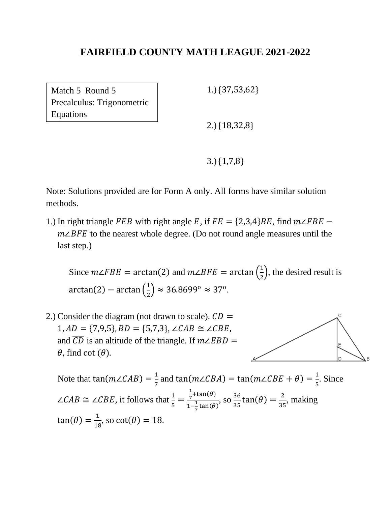Match 5 Round 5 Precalculus: Trigonometric Equations

1.) {37,53,62}

2.) {18,32,8}

3.) {1,7,8}

Note: Solutions provided are for Form A only. All forms have similar solution methods.

1.) In right triangle FEB with right angle E, if  $FE = \{2,3,4\}BE$ , find  $m\angle FBE$  –  $m\angle BFE$  to the nearest whole degree. (Do not round angle measures until the last step.)

Since  $m\angle FBE = \arctan(2)$  and  $m\angle BFE = \arctan(\frac{1}{2})$  $(\frac{1}{2})$ , the desired result is  $arctan(2) - arctan(\frac{1}{2})$  $(\frac{1}{2}) \approx 36.8699^{\circ} \approx 37^{\circ}.$ 

2.) Consider the diagram (not drawn to scale).  $CD =$  $1, AD = \{7,9,5\}, BD = \{5,7,3\}, \angle CAB \cong \angle CBE,$ and  $\overline{CD}$  is an altitude of the triangle. If  $m\angle EBD =$  $\theta$ , find cot  $(\theta)$ .



Note that tan( $m\angle CAB$ ) =  $\frac{1}{7}$  $\frac{1}{7}$  and tan( $m\angle CBA$ ) = tan( $m\angle CBE + \theta$ ) =  $\frac{1}{5}$  $\frac{1}{5}$ . Since ∠*CAB*  $\cong$  ∠*CBE*, it follows that  $\frac{1}{5}$  = 1  $rac{1}{7}$ +tan( $\theta$ )  $1-\frac{1}{7}$  $\frac{\tan(\theta)}{\frac{1}{7}\tan(\theta)}$ , SO  $\frac{36}{35}$  $\frac{36}{35}$ tan $(\theta) = \frac{2}{35}$  $rac{2}{35}$ , making  $tan(\theta) = \frac{1}{16}$  $\frac{1}{18}$ , so cot( $\theta$ ) = 18.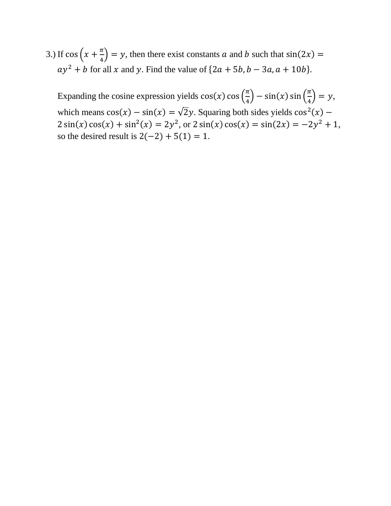3.) If  $\cos\left(x+\frac{\pi}{4}\right)$  $\frac{\pi}{4}$  = y, then there exist constants a and b such that  $\sin(2x)$  =  $ay^2 + b$  for all x and y. Find the value of  $\{2a + 5b, b - 3a, a + 10b\}$ .

Expanding the cosine expression yields  $cos(x) cos(\frac{\pi}{4})$  $\left(\frac{\pi}{4}\right) - \sin(x) \sin\left(\frac{\pi}{4}\right)$  $\frac{\pi}{4}$ ) = y, which means  $cos(x) - sin(x) = \sqrt{2}y$ . Squaring both sides yields  $cos<sup>2</sup>(x)$  –  $2\sin(x)\cos(x) + \sin^2(x) = 2y^2$ , or  $2\sin(x)\cos(x) = \sin(2x) = -2y^2 + 1$ , so the desired result is  $2(-2) + 5(1) = 1$ .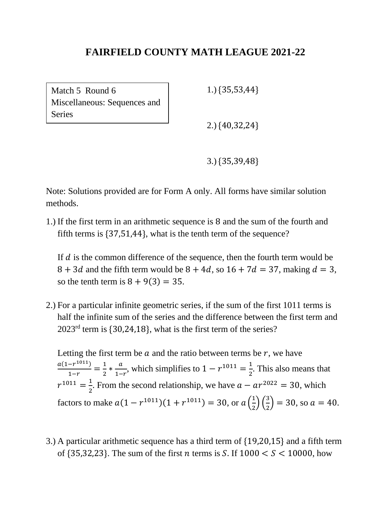Match 5 Round 6 Miscellaneous: Sequences and Series

1.) {35,53,44}

2.) {40,32,24}

3.) {35,39,48}

Note: Solutions provided are for Form A only. All forms have similar solution methods.

1.) If the first term in an arithmetic sequence is 8 and the sum of the fourth and fifth terms is {37,51,44}, what is the tenth term of the sequence?

If  $d$  is the common difference of the sequence, then the fourth term would be  $8 + 3d$  and the fifth term would be  $8 + 4d$ , so  $16 + 7d = 37$ , making  $d = 3$ , so the tenth term is  $8 + 9(3) = 35$ .

2.) For a particular infinite geometric series, if the sum of the first 1011 terms is half the infinite sum of the series and the difference between the first term and 2023rd term is {30,24,18}, what is the first term of the series?

Letting the first term be  $a$  and the ratio between terms be  $r$ , we have  $a(1-r^{1011})$  $\frac{-r^{1011}}{1-r} = \frac{1}{2}$  $rac{1}{2} * \frac{a}{1}$  $\frac{a}{1-r}$ , which simplifies to  $1 - r^{1011} = \frac{1}{2}$  $\frac{1}{2}$ . This also means that  $r^{1011} = \frac{1}{2}$  $\frac{1}{2}$ . From the second relationship, we have  $a - ar^{2022} = 30$ , which factors to make  $a(1 - r^{1011})(1 + r^{1011}) = 30$ , or  $a\left(\frac{1}{2}\right)$  $\frac{1}{2}$  $\left(\frac{3}{2}\right)$  $\binom{3}{2}$  = 30, so  $a = 40$ .

3.) A particular arithmetic sequence has a third term of {19,20,15} and a fifth term of  $\{35,32,23\}$ . The sum of the first *n* terms is S. If  $1000 < S < 10000$ , how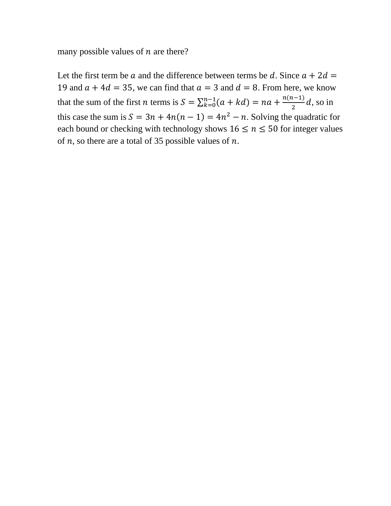many possible values of  $n$  are there?

Let the first term be a and the difference between terms be d. Since  $a + 2d =$ 19 and  $a + 4d = 35$ , we can find that  $a = 3$  and  $d = 8$ . From here, we know that the sum of the first *n* terms is  $S = \sum_{k=0}^{n-1} (a + kd) = na + \frac{n(n-1)}{2}$  $\frac{a^{2}-1}{2}d$ , so in this case the sum is  $S = 3n + 4n(n - 1) = 4n^2 - n$ . Solving the quadratic for each bound or checking with technology shows  $16 \le n \le 50$  for integer values of  $n$ , so there are a total of 35 possible values of  $n$ .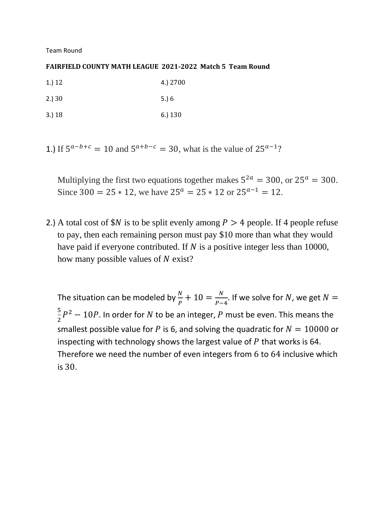Team Round

#### **FAIRFIELD COUNTY MATH LEAGUE 2021-2022 Match 5 Team Round**

| 1.) 12 | 4.) 2700         |
|--------|------------------|
| 2.) 30 | 5. $\frac{6}{3}$ |

3.) 18 6.) 130

1.) If  $5^{a-b+c} = 10$  and  $5^{a+b-c} = 30$ , what is the value of  $25^{a-1}$ ?

Multiplying the first two equations together makes  $5^{2a} = 300$ , or  $25^a = 300$ . Since 300 =  $25 * 12$ , we have  $25^a = 25 * 12$  or  $25^{a-1} = 12$ .

2.) A total cost of  $N$  is to be split evenly among  $P > 4$  people. If 4 people refuse to pay, then each remaining person must pay \$10 more than what they would have paid if everyone contributed. If  $N$  is a positive integer less than 10000, how many possible values of  $N$  exist?

The situation can be modeled by  $\frac{N}{P}+10=\frac{N}{P-1}$  $\frac{N}{P-4}$ . If we solve for N, we get  $N =$ 5  $\frac{5}{2}P^2-10P$ . In order for N to be an integer, P must be even. This means the smallest possible value for P is 6, and solving the quadratic for  $N = 10000$  or inspecting with technology shows the largest value of  $P$  that works is 64. Therefore we need the number of even integers from 6 to 64 inclusive which is 30.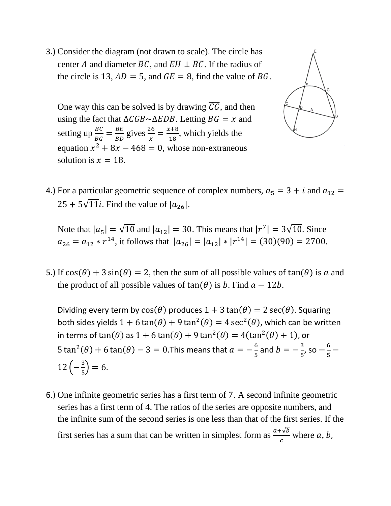3.) Consider the diagram (not drawn to scale). The circle has center A and diameter  $\overline{BC}$ , and  $\overline{EH} \perp \overline{BC}$ . If the radius of the circle is 13,  $AD = 5$ , and  $GE = 8$ , find the value of BG.

One way this can be solved is by drawing  $\overline{CG}$ , and then using the fact that  $\Delta CGB \sim \Delta EDB$ . Letting  $BG = x$  and setting up  $\frac{BC}{BG} = \frac{BE}{BD}$  $rac{BE}{BD}$  gives  $rac{26}{x} = \frac{x+8}{18}$  $\frac{18}{18}$ , which yields the equation  $x^2 + 8x - 468 = 0$ , whose non-extraneous solution is  $x = 18$ .



4.) For a particular geometric sequence of complex numbers,  $a_5 = 3 + i$  and  $a_{12} =$  $25 + 5\sqrt{11}i$ . Find the value of  $|a_{26}|$ .

Note that  $|a_5| = \sqrt{10}$  and  $|a_{12}| = 30$ . This means that  $|r^7| = 3\sqrt{10}$ . Since  $a_{26} = a_{12} * r^{14}$ , it follows that  $|a_{26}| = |a_{12}| * |r^{14}| = (30)(90) = 2700$ .

5.) If  $cos(\theta) + 3 sin(\theta) = 2$ , then the sum of all possible values of  $tan(\theta)$  is a and the product of all possible values of  $tan(\theta)$  is *b*. Find  $a - 12b$ .

Dividing every term by  $cos(\theta)$  produces  $1 + 3 tan(\theta) = 2 sec(\theta)$ . Squaring both sides yields  $1 + 6\tan(\theta) + 9\tan^2(\theta) = 4\sec^2(\theta)$ , which can be written in terms of tan( $\theta$ ) as  $1 + 6 \tan(\theta) + 9 \tan^2(\theta) = 4(\tan^2(\theta) + 1)$ , or  $5 \tan^2(\theta) + 6 \tan(\theta) - 3 = 0$ . This means that  $a = -\frac{6}{5}$  $\frac{6}{5}$  and  $b = -\frac{3}{5}$  $\frac{3}{5}$ , so  $-\frac{6}{5}$  $\frac{0}{5}$  —  $12\left(-\frac{3}{5}\right)$  $\frac{3}{5}$ ) = 6.

6.) One infinite geometric series has a first term of 7. A second infinite geometric series has a first term of 4. The ratios of the series are opposite numbers, and the infinite sum of the second series is one less than that of the first series. If the first series has a sum that can be written in simplest form as  $\frac{a+\sqrt{b}}{c}$  where a, b,